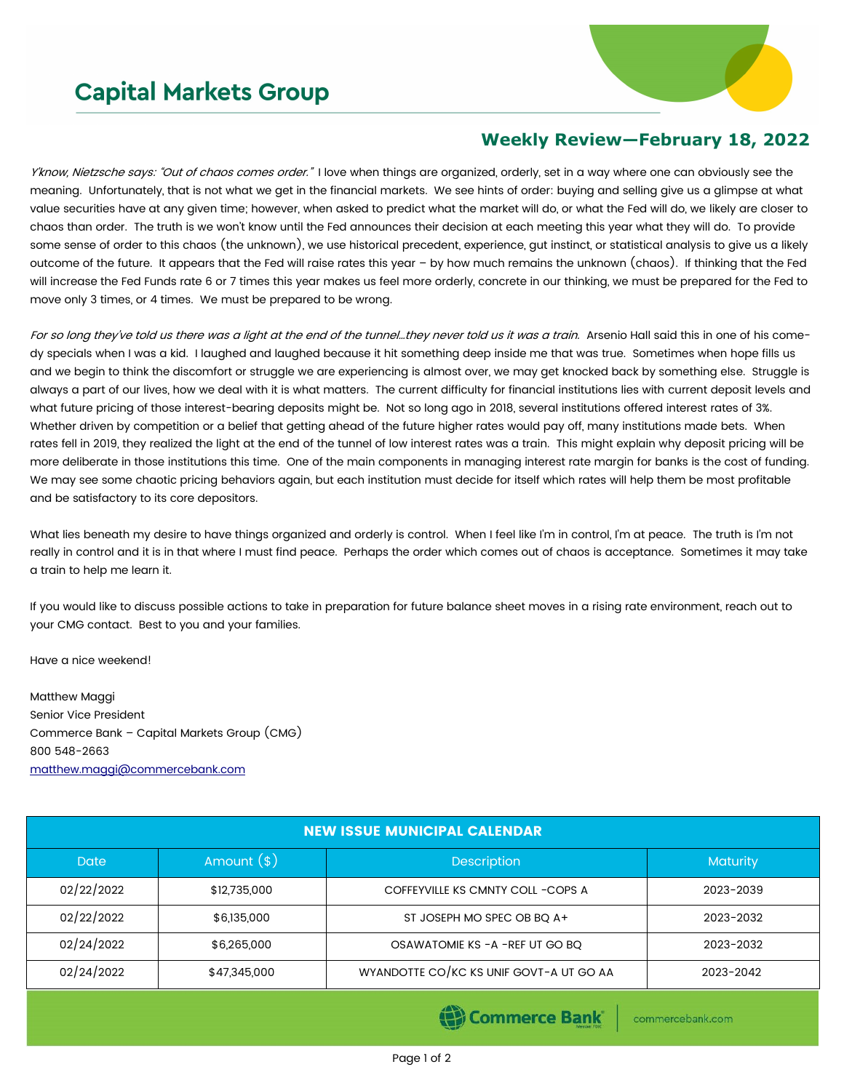## **Capital Markets Group**



## **Weekly Review—February 18, 2022**

Y'know, Nietzsche says: "Out of chaos comes order." I love when things are organized, orderly, set in a way where one can obviously see the meaning. Unfortunately, that is not what we get in the financial markets. We see hints of order: buying and selling give us a glimpse at what value securities have at any given time; however, when asked to predict what the market will do, or what the Fed will do, we likely are closer to chaos than order. The truth is we won't know until the Fed announces their decision at each meeting this year what they will do. To provide some sense of order to this chaos (the unknown), we use historical precedent, experience, gut instinct, or statistical analysis to give us a likely outcome of the future. It appears that the Fed will raise rates this year – by how much remains the unknown (chaos). If thinking that the Fed will increase the Fed Funds rate 6 or 7 times this year makes us feel more orderly, concrete in our thinking, we must be prepared for the Fed to move only 3 times, or 4 times. We must be prepared to be wrong.

For so long they've told us there was a light at the end of the tunnel...they never told us it was a train. Arsenio Hall said this in one of his comedy specials when I was a kid. I laughed and laughed because it hit something deep inside me that was true. Sometimes when hope fills us and we begin to think the discomfort or struggle we are experiencing is almost over, we may get knocked back by something else. Struggle is always a part of our lives, how we deal with it is what matters. The current difficulty for financial institutions lies with current deposit levels and what future pricing of those interest-bearing deposits might be. Not so long ago in 2018, several institutions offered interest rates of 3%. Whether driven by competition or a belief that getting ahead of the future higher rates would pay off, many institutions made bets. When rates fell in 2019, they realized the light at the end of the tunnel of low interest rates was a train. This might explain why deposit pricing will be more deliberate in those institutions this time. One of the main components in managing interest rate margin for banks is the cost of funding. We may see some chaotic pricing behaviors again, but each institution must decide for itself which rates will help them be most profitable and be satisfactory to its core depositors.

What lies beneath my desire to have things organized and orderly is control. When I feel like I'm in control, I'm at peace. The truth is I'm not really in control and it is in that where I must find peace. Perhaps the order which comes out of chaos is acceptance. Sometimes it may take a train to help me learn it.

If you would like to discuss possible actions to take in preparation for future balance sheet moves in a rising rate environment, reach out to your CMG contact. Best to you and your families.

Have a nice weekend!

Matthew Maggi Senior Vice President Commerce Bank – Capital Markets Group (CMG) 800 548-2663 [matthew.maggi@commercebank.com](mailto:matthew.maggi@commercebank.com)

| <b>NEW ISSUE MUNICIPAL CALENDAR</b> |              |                                         |                 |  |  |  |  |
|-------------------------------------|--------------|-----------------------------------------|-----------------|--|--|--|--|
| <b>Date</b>                         | Amount $(*)$ | <b>Description</b>                      | <b>Maturity</b> |  |  |  |  |
| 02/22/2022                          | \$12,735,000 | COFFEYVILLE KS CMNTY COLL - COPS A      | 2023-2039       |  |  |  |  |
| 02/22/2022                          | \$6,135,000  | ST JOSEPH MO SPEC OB BQ A+              | 2023-2032       |  |  |  |  |
| 02/24/2022                          | \$6,265,000  | OSAWATOMIE KS - A - REF UT GO BQ        | 2023-2032       |  |  |  |  |
| 02/24/2022                          | \$47,345,000 | WYANDOTTE CO/KC KS UNIF GOVT-A UT GO AA | 2023-2042       |  |  |  |  |

Commerce Bank

commercebank.com